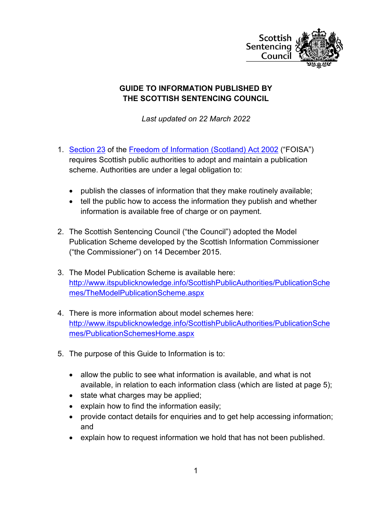

# **GUIDE TO INFORMATION PUBLISHED BY THE SCOTTISH SENTENCING COUNCIL**

*Last updated on 22 March 2022*

- 1. [Section 23](http://www.legislation.gov.uk/asp/2002/13/section/23) of the [Freedom of Information \(Scotland\) Act 2002](http://www.legislation.gov.uk/asp/2002/13/contents) ("FOISA") requires Scottish public authorities to adopt and maintain a publication scheme. Authorities are under a legal obligation to:
	- publish the classes of information that they make routinely available;
	- tell the public how to access the information they publish and whether information is available free of charge or on payment.
- 2. The Scottish Sentencing Council ("the Council") adopted the Model Publication Scheme developed by the Scottish Information Commissioner ("the Commissioner") on 14 December 2015.
- 3. The Model Publication Scheme is available here: [http://www.itspublicknowledge.info/ScottishPublicAuthorities/PublicationSche](http://www.itspublicknowledge.info/ScottishPublicAuthorities/PublicationSchemes/TheModelPublicationScheme.aspx) [mes/TheModelPublicationScheme.aspx](http://www.itspublicknowledge.info/ScottishPublicAuthorities/PublicationSchemes/TheModelPublicationScheme.aspx)
- 4. There is more information about model schemes here: [http://www.itspublicknowledge.info/ScottishPublicAuthorities/PublicationSche](http://www.itspublicknowledge.info/ScottishPublicAuthorities/PublicationSchemes/PublicationSchemesHome.aspx) [mes/PublicationSchemesHome.aspx](http://www.itspublicknowledge.info/ScottishPublicAuthorities/PublicationSchemes/PublicationSchemesHome.aspx)
- 5. The purpose of this Guide to Information is to:
	- allow the public to see what information is available, and what is not available, in relation to each information class (which are listed at page 5);
	- state what charges may be applied;
	- explain how to find the information easily;
	- provide contact details for enquiries and to get help accessing information; and
	- explain how to request information we hold that has not been published.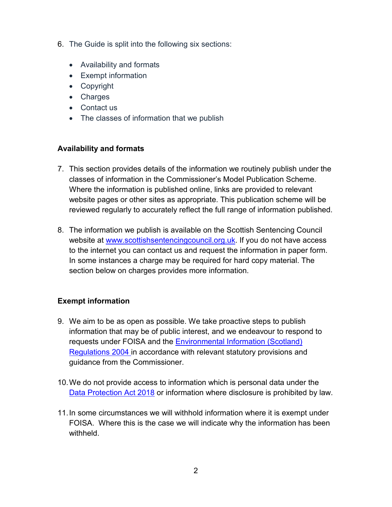- 6. The Guide is split into the following six sections:
	- Availability and formats
	- Exempt information
	- Copyright
	- Charges
	- Contact us
	- The classes of information that we publish

#### **Availability and formats**

- 7. This section provides details of the information we routinely publish under the classes of information in the Commissioner's Model Publication Scheme. Where the information is published online, links are provided to relevant website pages or other sites as appropriate. This publication scheme will be reviewed regularly to accurately reflect the full range of information published.
- 8. The information we publish is available on the Scottish Sentencing Council website at [www.scottishsentencingcouncil.org.uk.](http://www.scottishsentencingcouncil.org.uk/) If you do not have access to the internet you can contact us and request the information in paper form. In some instances a charge may be required for hard copy material. The section below on charges provides more information.

## **Exempt information**

- 9. We aim to be as open as possible. We take proactive steps to publish information that may be of public interest, and we endeavour to respond to requests under FOISA and the [Environmental Information \(Scotland\)](http://www.legislation.gov.uk/ssi/2004/520/contents/made)  [Regulations 2004](http://www.legislation.gov.uk/ssi/2004/520/contents/made) in accordance with relevant statutory provisions and guidance from the Commissioner.
- 10.We do not provide access to information which is personal data under the [Data Protection Act 2018](https://www.legislation.gov.uk/ukpga/2018/12/contents) or information where disclosure is prohibited by law.
- 11.In some circumstances we will withhold information where it is exempt under FOISA. Where this is the case we will indicate why the information has been withheld.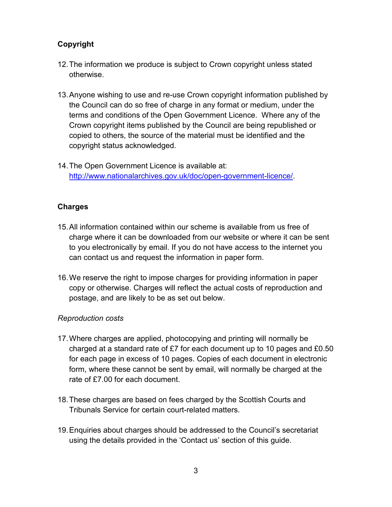# **Copyright**

- 12.The information we produce is subject to Crown copyright unless stated otherwise.
- 13.Anyone wishing to use and re-use Crown copyright information published by the Council can do so free of charge in any format or medium, under the terms and conditions of the Open Government Licence. Where any of the Crown copyright items published by the Council are being republished or copied to others, the source of the material must be identified and the copyright status acknowledged.
- 14.The Open Government Licence is available at: [http://www.nationalarchives.gov.uk/doc/open-government-licence/.](http://www.nationalarchives.gov.uk/doc/open-government-licence/)

## **Charges**

- 15.All information contained within our scheme is available from us free of charge where it can be downloaded from our website or where it can be sent to you electronically by email. If you do not have access to the internet you can contact us and request the information in paper form.
- 16.We reserve the right to impose charges for providing information in paper copy or otherwise. Charges will reflect the actual costs of reproduction and postage, and are likely to be as set out below.

#### *Reproduction costs*

- 17.Where charges are applied, photocopying and printing will normally be charged at a standard rate of £7 for each document up to 10 pages and £0.50 for each page in excess of 10 pages. Copies of each document in electronic form, where these cannot be sent by email, will normally be charged at the rate of £7.00 for each document.
- 18.These charges are based on fees charged by the Scottish Courts and Tribunals Service for certain court-related matters.
- 19.Enquiries about charges should be addressed to the Council's secretariat using the details provided in the 'Contact us' section of this guide.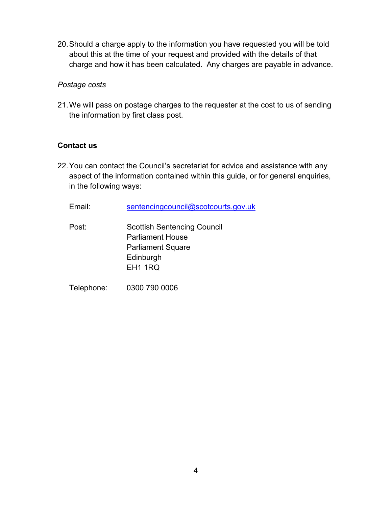20.Should a charge apply to the information you have requested you will be told about this at the time of your request and provided with the details of that charge and how it has been calculated. Any charges are payable in advance.

#### *Postage costs*

21.We will pass on postage charges to the requester at the cost to us of sending the information by first class post.

## **Contact us**

22.You can contact the Council's secretariat for advice and assistance with any aspect of the information contained within this guide, or for general enquiries, in the following ways:

Email: sentencingcouncil@scotcourts.gov.uk

Post: Scottish Sentencing Council Parliament House Parliament Square **Edinburgh** EH1 1RQ

Telephone: 0300 790 0006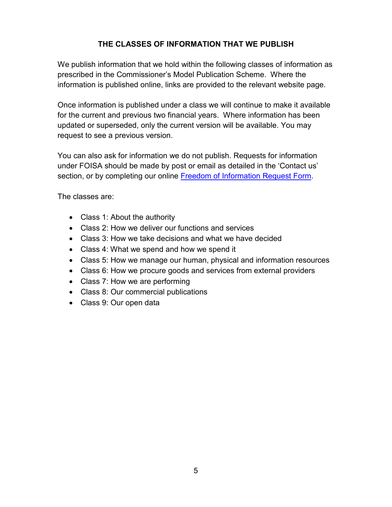# **THE CLASSES OF INFORMATION THAT WE PUBLISH**

We publish information that we hold within the following classes of information as prescribed in the Commissioner's Model Publication Scheme. Where the information is published online, links are provided to the relevant website page.

Once information is published under a class we will continue to make it available for the current and previous two financial years. Where information has been updated or superseded, only the current version will be available. You may request to see a previous version.

You can also ask for information we do not publish. Requests for information under FOISA should be made by post or email as detailed in the 'Contact us' section, or by completing our online [Freedom of Information Request Form.](https://www.scottishsentencingcouncil.org.uk/about-us/foi-request-form/)

The classes are:

- Class 1: About the authority
- Class 2: How we deliver our functions and services
- Class 3: How we take decisions and what we have decided
- Class 4: What we spend and how we spend it
- Class 5: How we manage our human, physical and information resources
- Class 6: How we procure goods and services from external providers
- Class 7: How we are performing
- Class 8: Our commercial publications
- Class 9: Our open data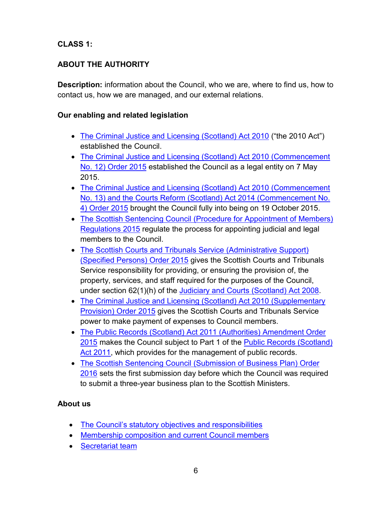# **CLASS 1:**

# **ABOUT THE AUTHORITY**

**Description:** information about the Council, who we are, where to find us, how to contact us, how we are managed, and our external relations.

# **Our enabling and related legislation**

- [The Criminal Justice and Licensing \(Scotland\) Act 2010](http://www.legislation.gov.uk/asp/2010/13/contents) ("the 2010 Act") established the Council.
- The Criminal Justice and Licensing (Scotland) Act 2010 (Commencement [No. 12\) Order 2015](http://www.legislation.gov.uk/ssi/2015/177/contents/made) established the Council as a legal entity on 7 May 2015.
- The Criminal Justice and Licensing (Scotland) Act 2010 (Commencement [No. 13\) and the Courts Reform \(Scotland\) Act 2014 \(Commencement No.](http://www.legislation.gov.uk/ssi/2015/336/pdfs/ssi_20150336_en.pdf)  [4\) Order 2015](http://www.legislation.gov.uk/ssi/2015/336/pdfs/ssi_20150336_en.pdf) brought the Council fully into being on 19 October 2015.
- The Scottish Sentencing Council (Procedure for Appointment of Members) [Regulations 2015](http://www.legislation.gov.uk/ssi/2015/225/contents/made) regulate the process for appointing judicial and legal members to the Council.
- [The Scottish Courts and Tribunals Service \(Administrative Support\)](http://www.legislation.gov.uk/ssi/2015/224/contents/made) [\(Specified Persons\) Order 2015](http://www.legislation.gov.uk/ssi/2015/224/contents/made) gives the Scottish Courts and Tribunals Service responsibility for providing, or ensuring the provision of, the property, services, and staff required for the purposes of the Council, under section 62(1)(h) of the [Judiciary and Courts \(Scotland\) Act 2008.](http://www.legislation.gov.uk/asp/2008/6/contents)
- The Criminal Justice and Licensing (Scotland) Act 2010 (Supplementary [Provision\) Order 2015](http://www.legislation.gov.uk/ssi/2015/388/made) gives the Scottish Courts and Tribunals Service power to make payment of expenses to Council members.
- [The Public Records \(Scotland\) Act 2011 \(Authorities\) Amendment Order](http://www.legislation.gov.uk/ssi/2015/335/contents/made)  [2015](http://www.legislation.gov.uk/ssi/2015/335/contents/made) makes the Council subject to Part 1 of the [Public Records \(Scotland\)](http://www.legislation.gov.uk/asp/2011/12/contents)  [Act 2011,](http://www.legislation.gov.uk/asp/2011/12/contents) which provides for the management of public records.
- [The Scottish Sentencing Council \(Submission of Business Plan\) Order](http://legislation.data.gov.uk/ssi/2016/55/introduction/made/data.htm?wrap=true)  [2016](http://legislation.data.gov.uk/ssi/2016/55/introduction/made/data.htm?wrap=true) sets the first submission day before which the Council was required to submit a three-year business plan to the Scottish Ministers.

# **About us**

- The [Council's statutory objectives and responsibilities](https://www.scottishsentencingcouncil.org.uk/about-us/aims-and-accountability)
- [Membership composition and current Council members](https://www.scottishsentencingcouncil.org.uk/about-us/membership/)
- [Secretariat team](https://www.scottishsentencingcouncil.org.uk/about-us/secretariat/)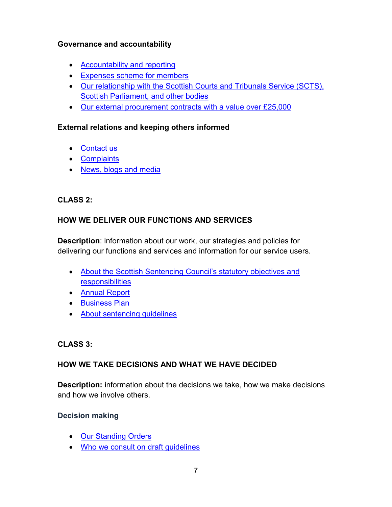## **Governance and accountability**

- [Accountability and reporting](https://www.scottishsentencingcouncil.org.uk/about-us/aims-and-accountability)
- [Expenses scheme for members](https://www.scottishsentencingcouncil.org.uk/media/2049/scottish-sentencing-council-expenses-scheme-for-members-updated-25-february-2020.pdf)
- [Our relationship with the Scottish Courts and Tribunals Service](https://www.scottishsentencingcouncil.org.uk/about-us/aims-and-accountability/how-we-fit-into-the-justice-system) (SCTS), [Scottish Parliament, and other bodies](https://www.scottishsentencingcouncil.org.uk/about-us/aims-and-accountability/how-we-fit-into-the-justice-system)
- [Our external procurement contracts](https://www.scottishsentencingcouncil.org.uk/about-us/aims-and-accountability/procurement-of-goods-and-services/) with a value over £25,000

#### **External relations and keeping others informed**

- [Contact us](https://www.scottishsentencingcouncil.org.uk/about-us/contact-us/)
- [Complaints](https://www.scottishsentencingcouncil.org.uk/complaints/)
- [News, blogs](https://www.scottishsentencingcouncil.org.uk/news-and-media) and media

# **CLASS 2:**

# **HOW WE DELIVER OUR FUNCTIONS AND SERVICES**

**Description**: information about our work, our strategies and policies for delivering our functions and services and information for our service users.

- [About the Scottish Sentencing Council's statutory objectives and](https://www.scottishsentencingcouncil.org.uk/about-us/aims-and-accountability)  [responsibilities](https://www.scottishsentencingcouncil.org.uk/about-us/aims-and-accountability)
- [Annual Report](https://www.scottishsentencingcouncil.org.uk/media/2172/scottish-sentencing-council-annual-report-2020-21.pdf)
- [Business Plan](https://www.scottishsentencingcouncil.org.uk/media/2177/scottish-sentencing-council-business-plan-2021-24.pdf)
- [About sentencing guidelines](https://www.scottishsentencingcouncil.org.uk/sentencing-guidelines/)

## **CLASS 3:**

# **HOW WE TAKE DECISIONS AND WHAT WE HAVE DECIDED**

**Description:** information about the decisions we take, how we make decisions and how we involve others.

## **Decision making**

- [Our Standing Orders](https://www.scottishsentencingcouncil.org.uk/media/2203/20211203-standing-orders-as-published-22-march-2022.pdf)
- Who we [consult on draft guidelines](https://www.scottishsentencingcouncil.org.uk/sentencing-guidelines/methodology/stage-4-consulting-on-the-guideline/)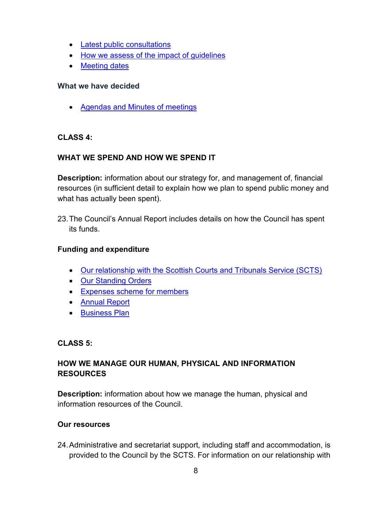- [Latest public consultations](https://www.scottishsentencingcouncil.org.uk/consultations/)
- How we assess [of the impact of guidelines](https://www.scottishsentencingcouncil.org.uk/sentencing-guidelines/methodology/stage-8-monitoring-and-review/)
- [Meeting dates](https://www.scottishsentencingcouncil.org.uk/about-us/meetings/)

### **What we have decided**

• [Agendas and Minutes of meetings](https://www.scottishsentencingcouncil.org.uk/about-us/meetings)

# **CLASS 4:**

# **WHAT WE SPEND AND HOW WE SPEND IT**

**Description:** information about our strategy for, and management of, financial resources (in sufficient detail to explain how we plan to spend public money and what has actually been spent).

23.The Council's Annual Report includes details on how the Council has spent its funds.

## **Funding and expenditure**

- [Our relationship with the Scottish Courts and Tribunals Service \(SCTS\)](https://www.scottishsentencingcouncil.org.uk/about-us/aims-and-accountability/how-we-fit-into-the-justice-system)
- [Our Standing Orders](https://www.scottishsentencingcouncil.org.uk/media/2203/20211203-standing-orders-as-published-22-march-2022.pdf)
- [Expenses scheme for members](https://www.scottishsentencingcouncil.org.uk/media/2049/scottish-sentencing-council-expenses-scheme-for-members-updated-25-february-2020.pdf)
- [Annual Report](https://www.scottishsentencingcouncil.org.uk/media/2172/scottish-sentencing-council-annual-report-2020-21.pdf)
- [Business Plan](https://www.scottishsentencingcouncil.org.uk/media/2177/scottish-sentencing-council-business-plan-2021-24.pdf)

## **CLASS 5:**

# **HOW WE MANAGE OUR HUMAN, PHYSICAL AND INFORMATION RESOURCES**

**Description:** information about how we manage the human, physical and information resources of the Council.

## **Our resources**

24.Administrative and secretariat support, including staff and accommodation, is provided to the Council by the SCTS. For information on our relationship with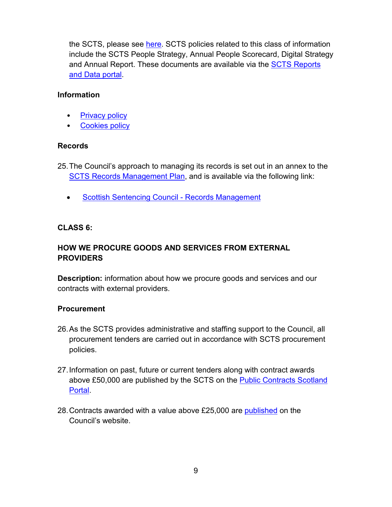the SCTS, please see [here.](https://www.scottishsentencingcouncil.org.uk/about-us/aims-and-accountability/how-we-fit-into-the-justice-system) SCTS policies related to this class of information include the SCTS People Strategy, Annual People Scorecard, Digital Strategy and Annual Report. These documents are available via the SCTS Reports [and Data portal.](https://www.scotcourts.gov.uk/about-the-scottish-court-service/reports-data)

#### **Information**

- **[Privacy policy](https://www.scottishsentencingcouncil.org.uk/privacy/)**
- [Cookies policy](https://www.scottishsentencingcouncil.org.uk/cookies/)

# **Records**

25.The Council's approach to managing its records is set out in an annex to the [SCTS Records Management Plan,](https://www.scotcourts.gov.uk/docs/default-source/aboutscs/contact-us/freedom-of-information/record_management_plan_january_2021.pdf?sfvrsn=4) and is available via the following link:

• [Scottish Sentencing Council -](https://www.scotcourts.gov.uk/docs/default-source/aboutscs/contact-us/freedom-of-information/annex_i5_scottish_sentencing_council_records_management_revised_dec_2020.pdf?sfvrsn=4) Records Management

# **CLASS 6:**

# **HOW WE PROCURE GOODS AND SERVICES FROM EXTERNAL PROVIDERS**

**Description:** information about how we procure goods and services and our contracts with external providers.

## **Procurement**

- 26.As the SCTS provides administrative and staffing support to the Council, all procurement tenders are carried out in accordance with SCTS procurement policies.
- 27.Information on past, future or current tenders along with contract awards above £50,000 are published by the SCTS on the **Public Contracts Scotland** [Portal.](https://www.publiccontractsscotland.gov.uk/search/Search_AuthProfile.aspx?ID=AA00396)
- 28. Contracts awarded with a value above £25,000 are [published](https://www.scottishsentencingcouncil.org.uk/about-us/aims-and-accountability/procurement-of-goods-and-services/) on the Council's website.